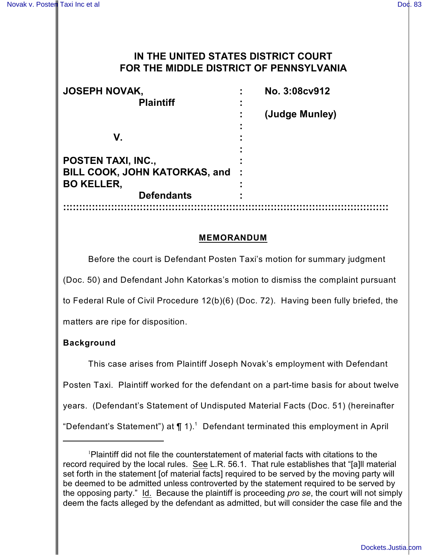# **IN THE UNITED STATES DISTRICT COURT FOR THE MIDDLE DISTRICT OF PENNSYLVANIA**

| <b>JOSEPH NOVAK,</b><br><b>Plaintiff</b> | No. 3:08cv912<br>۰. |
|------------------------------------------|---------------------|
|                                          | (Judge Munley)      |
| V.                                       |                     |
| <b>POSTEN TAXI, INC.,</b>                |                     |
| BILL COOK, JOHN KATORKAS, and            |                     |
| <b>BO KELLER,</b>                        |                     |
| <b>Defendants</b>                        |                     |
|                                          |                     |

#### **MEMORANDUM**

Before the court is Defendant Posten Taxi's motion for summary judgment (Doc. 50) and Defendant John Katorkas's motion to dismiss the complaint pursuant to Federal Rule of Civil Procedure 12(b)(6) (Doc. 72). Having been fully briefed, the matters are ripe for disposition.

## **Background**

This case arises from Plaintiff Joseph Novak's employment with Defendant Posten Taxi. Plaintiff worked for the defendant on a part-time basis for about twelve years. (Defendant's Statement of Undisputed Material Facts (Doc. 51) (hereinafter "Defendant's Statement") at  $\P$  1). $^1$  Defendant terminated this employment in April

Plaintiff did not file the counterstatement of material facts with citations to the record required by the local rules. See L.R. 56.1. That rule establishes that "[a]ll material set forth in the statement [of material facts] required to be served by the moving party will be deemed to be admitted unless controverted by the statement required to be served by the opposing party." Id. Because the plaintiff is proceeding *pro se*, the court will not simply deem the facts alleged by the defendant as admitted, but will consider the case file and the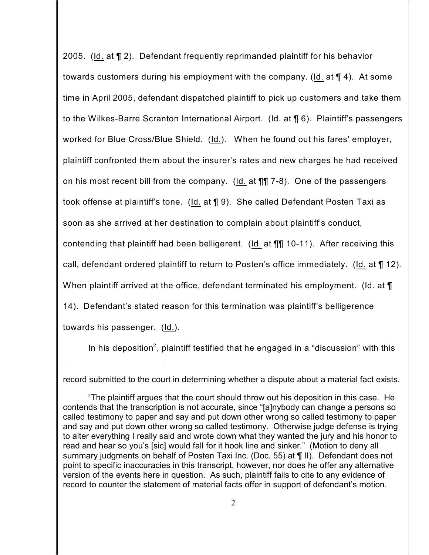2005. (Id. at ¶ 2). Defendant frequently reprimanded plaintiff for his behavior towards customers during his employment with the company. (Id. at ¶ 4). At some time in April 2005, defendant dispatched plaintiff to pick up customers and take them to the Wilkes-Barre Scranton International Airport. (Id. at ¶ 6). Plaintiff's passengers worked for Blue Cross/Blue Shield. (Id.). When he found out his fares' employer, plaintiff confronted them about the insurer's rates and new charges he had received on his most recent bill from the company. (Id. at ¶¶ 7-8). One of the passengers took offense at plaintiff's tone. (Id. at ¶ 9). She called Defendant Posten Taxi as soon as she arrived at her destination to complain about plaintiff's conduct, contending that plaintiff had been belligerent. (Id. at ¶¶ 10-11). After receiving this call, defendant ordered plaintiff to return to Posten's office immediately. (Id. at ¶ 12). When plaintiff arrived at the office, defendant terminated his employment. (Id. at  $\P$ 14). Defendant's stated reason for this termination was plaintiff's belligerence towards his passenger. (Id.).

In his deposition<sup>2</sup>, plaintiff testified that he engaged in a "discussion" with this

record submitted to the court in determining whether a dispute about a material fact exists.

 $2$ The plaintiff argues that the court should throw out his deposition in this case. He contends that the transcription is not accurate, since "[a]nybody can change a persons so called testimony to paper and say and put down other wrong so called testimony to paper and say and put down other wrong so called testimony. Otherwise judge defense is trying to alter everything I really said and wrote down what they wanted the jury and his honor to read and hear so you's [sic] would fall for it hook line and sinker." (Motion to deny all summary judgments on behalf of Posten Taxi Inc. (Doc. 55) at ¶ II). Defendant does not point to specific inaccuracies in this transcript, however, nor does he offer any alternative version of the events here in question. As such, plaintiff fails to cite to any evidence of record to counter the statement of material facts offer in support of defendant's motion.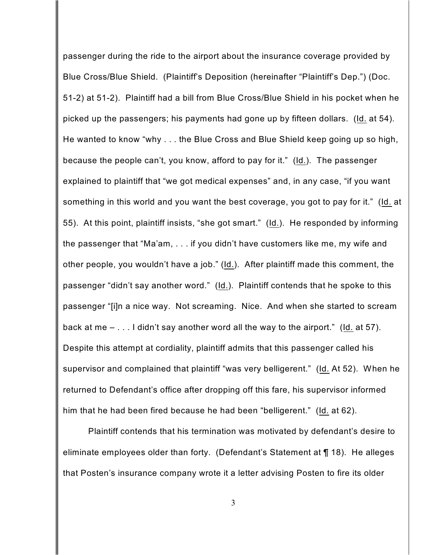passenger during the ride to the airport about the insurance coverage provided by Blue Cross/Blue Shield. (Plaintiff's Deposition (hereinafter "Plaintiff's Dep.") (Doc. 51-2) at 51-2). Plaintiff had a bill from Blue Cross/Blue Shield in his pocket when he picked up the passengers; his payments had gone up by fifteen dollars. (Id. at 54). He wanted to know "why . . . the Blue Cross and Blue Shield keep going up so high, because the people can't, you know, afford to pay for it." (Id.). The passenger explained to plaintiff that "we got medical expenses" and, in any case, "if you want something in this world and you want the best coverage, you got to pay for it." (Id. at 55). At this point, plaintiff insists, "she got smart." (Id.). He responded by informing the passenger that "Ma'am, . . . if you didn't have customers like me, my wife and other people, you wouldn't have a job." (Id.). After plaintiff made this comment, the passenger "didn't say another word." (Id.). Plaintiff contends that he spoke to this passenger "[i]n a nice way. Not screaming. Nice. And when she started to scream back at me – . . . I didn't say another word all the way to the airport." (Id. at 57). Despite this attempt at cordiality, plaintiff admits that this passenger called his supervisor and complained that plaintiff "was very belligerent." (Id. At 52). When he returned to Defendant's office after dropping off this fare, his supervisor informed him that he had been fired because he had been "belligerent." (Id. at 62).

Plaintiff contends that his termination was motivated by defendant's desire to eliminate employees older than forty. (Defendant's Statement at ¶ 18). He alleges that Posten's insurance company wrote it a letter advising Posten to fire its older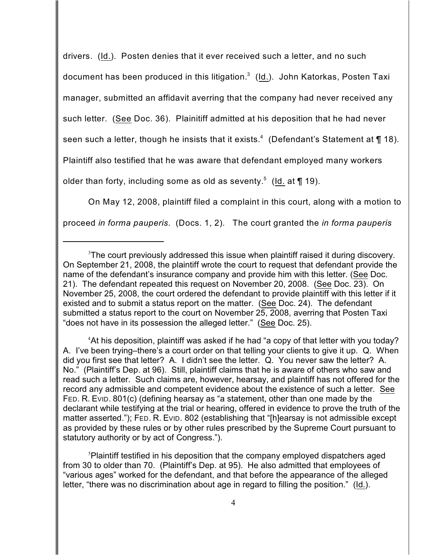drivers. (Id.). Posten denies that it ever received such a letter, and no such document has been produced in this litigation. $^3\,$  (<u>Id.</u>). John Katorkas, Posten Taxi manager, submitted an affidavit averring that the company had never received any such letter. (See Doc. 36). Plainitiff admitted at his deposition that he had never seen such a letter, though he insists that it exists. $^4\,$  (Defendant's Statement at  $\P$  18). Plaintiff also testified that he was aware that defendant employed many workers older than forty, including some as old as seventy. $^5\,$  (<u>Id.</u> at  $\P$  19).

On May 12, 2008, plaintiff filed a complaint in this court, along with a motion to proceed *in forma pauperis*. (Docs. 1, 2). The court granted the *in forma pauperis*

<sup>4</sup>At his deposition, plaintiff was asked if he had "a copy of that letter with you today? A. I've been trying–there's a court order on that telling your clients to give it up. Q. When did you first see that letter? A. I didn't see the letter. Q. You never saw the letter? A. No." (Plaintiff's Dep. at 96). Still, plaintiff claims that he is aware of others who saw and read such a letter. Such claims are, however, hearsay, and plaintiff has not offered for the record any admissible and competent evidence about the existence of such a letter. See FED. R. EVID. 801(c) (defining hearsay as "a statement, other than one made by the declarant while testifying at the trial or hearing, offered in evidence to prove the truth of the matter asserted."); FED. R. EVID. 802 (establishing that "[h]earsay is not admissible except as provided by these rules or by other rules prescribed by the Supreme Court pursuant to statutory authority or by act of Congress.").

 $\delta$ Plaintiff testified in his deposition that the company employed dispatchers aged from 30 to older than 70. (Plaintiff's Dep. at 95). He also admitted that employees of "various ages" worked for the defendant, and that before the appearance of the alleged letter, "there was no discrimination about age in regard to filling the position." (Id.).

 $3$ The court previously addressed this issue when plaintiff raised it during discovery. On September 21, 2008, the plaintiff wrote the court to request that defendant provide the name of the defendant's insurance company and provide him with this letter. (See Doc. 21). The defendant repeated this request on November 20, 2008. (See Doc. 23). On November 25, 2008, the court ordered the defendant to provide plaintiff with this letter if it existed and to submit a status report on the matter. (See Doc. 24). The defendant submitted a status report to the court on November 25, 2008, averring that Posten Taxi "does not have in its possession the alleged letter." (See Doc. 25).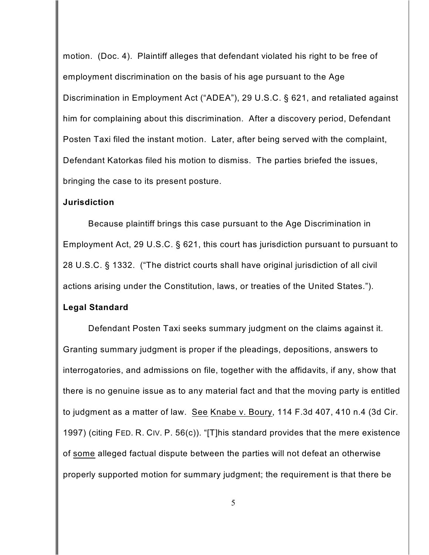motion. (Doc. 4). Plaintiff alleges that defendant violated his right to be free of employment discrimination on the basis of his age pursuant to the Age Discrimination in Employment Act ("ADEA"), 29 U.S.C. § 621, and retaliated against him for complaining about this discrimination. After a discovery period, Defendant Posten Taxi filed the instant motion. Later, after being served with the complaint, Defendant Katorkas filed his motion to dismiss. The parties briefed the issues, bringing the case to its present posture.

#### **Jurisdiction**

Because plaintiff brings this case pursuant to the Age Discrimination in Employment Act, 29 U.S.C. § 621, this court has jurisdiction pursuant to pursuant to 28 U.S.C. § 1332. ("The district courts shall have original jurisdiction of all civil actions arising under the Constitution, laws, or treaties of the United States.").

#### **Legal Standard**

Defendant Posten Taxi seeks summary judgment on the claims against it. Granting summary judgment is proper if the pleadings, depositions, answers to interrogatories, and admissions on file, together with the affidavits, if any, show that there is no genuine issue as to any material fact and that the moving party is entitled to judgment as a matter of law. See Knabe v. Boury, 114 F.3d 407, 410 n.4 (3d Cir. 1997) (citing FED. R. CIV. P. 56(c)). "[T]his standard provides that the mere existence of some alleged factual dispute between the parties will not defeat an otherwise properly supported motion for summary judgment; the requirement is that there be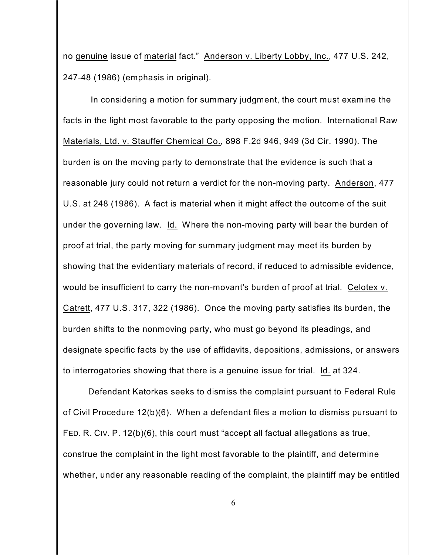no genuine issue of material fact." Anderson v. Liberty Lobby, Inc., 477 U.S. 242, 247-48 (1986) (emphasis in original).

In considering a motion for summary judgment, the court must examine the facts in the light most favorable to the party opposing the motion. International Raw Materials, Ltd. v. Stauffer Chemical Co., 898 F.2d 946, 949 (3d Cir. 1990). The burden is on the moving party to demonstrate that the evidence is such that a reasonable jury could not return a verdict for the non-moving party. Anderson, 477 U.S. at 248 (1986). A fact is material when it might affect the outcome of the suit under the governing law. Id. Where the non-moving party will bear the burden of proof at trial, the party moving for summary judgment may meet its burden by showing that the evidentiary materials of record, if reduced to admissible evidence, would be insufficient to carry the non-movant's burden of proof at trial. Celotex v. Catrett, 477 U.S. 317, 322 (1986). Once the moving party satisfies its burden, the burden shifts to the nonmoving party, who must go beyond its pleadings, and designate specific facts by the use of affidavits, depositions, admissions, or answers to interrogatories showing that there is a genuine issue for trial. Id. at 324.

Defendant Katorkas seeks to dismiss the complaint pursuant to Federal Rule of Civil Procedure 12(b)(6). When a defendant files a motion to dismiss pursuant to FED. R. CIV. P. 12(b)(6), this court must "accept all factual allegations as true, construe the complaint in the light most favorable to the plaintiff, and determine whether, under any reasonable reading of the complaint, the plaintiff may be entitled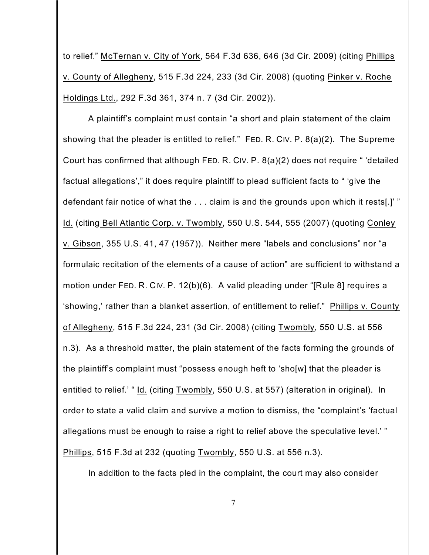to relief." McTernan v. City of York, 564 F.3d 636, 646 (3d Cir. 2009) (citing Phillips v. County of Allegheny, 515 F.3d 224, 233 (3d Cir. 2008) (quoting Pinker v. Roche Holdings Ltd., 292 F.3d 361, 374 n. 7 (3d Cir. 2002)).

A plaintiff's complaint must contain "a short and plain statement of the claim showing that the pleader is entitled to relief." FED. R. CIV. P. 8(a)(2). The Supreme Court has confirmed that although FED. R. CIV. P. 8(a)(2) does not require " 'detailed factual allegations'," it does require plaintiff to plead sufficient facts to " 'give the defendant fair notice of what the . . . claim is and the grounds upon which it rests[.]' " Id. (citing Bell Atlantic Corp. v. Twombly, 550 U.S. 544, 555 (2007) (quoting Conley v. Gibson, 355 U.S. 41, 47 (1957)). Neither mere "labels and conclusions" nor "a formulaic recitation of the elements of a cause of action" are sufficient to withstand a motion under FED. R. CIV. P. 12(b)(6). A valid pleading under "[Rule 8] requires a 'showing,' rather than a blanket assertion, of entitlement to relief." Phillips v. County of Allegheny, 515 F.3d 224, 231 (3d Cir. 2008) (citing Twombly, 550 U.S. at 556 n.3). As a threshold matter, the plain statement of the facts forming the grounds of the plaintiff's complaint must "possess enough heft to 'sho[w] that the pleader is entitled to relief.' " Id. (citing Twombly, 550 U.S. at 557) (alteration in original). In order to state a valid claim and survive a motion to dismiss, the "complaint's 'factual allegations must be enough to raise a right to relief above the speculative level.' " Phillips, 515 F.3d at 232 (quoting Twombly, 550 U.S. at 556 n.3).

In addition to the facts pled in the complaint, the court may also consider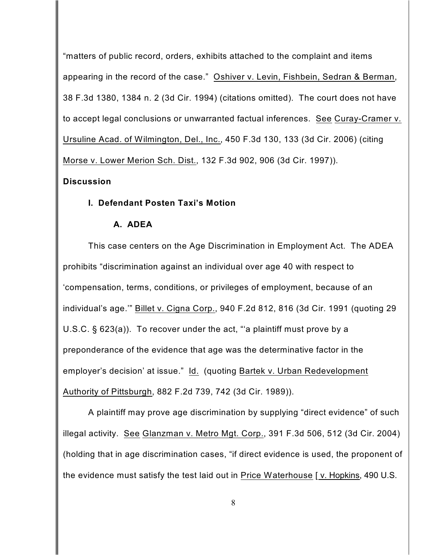"matters of public record, orders, exhibits attached to the complaint and items appearing in the record of the case." Oshiver v. Levin, Fishbein, Sedran & Berman, 38 F.3d 1380, 1384 n. 2 (3d Cir. 1994) (citations omitted). The court does not have to accept legal conclusions or unwarranted factual inferences. See Curay-Cramer v. Ursuline Acad. of Wilmington, Del., Inc., 450 F.3d 130, 133 (3d Cir. 2006) (citing Morse v. Lower Merion Sch. Dist., 132 F.3d 902, 906 (3d Cir. 1997)).

## **Discussion**

## **I. Defendant Posten Taxi's Motion**

## **A. ADEA**

This case centers on the Age Discrimination in Employment Act. The ADEA prohibits "discrimination against an individual over age 40 with respect to 'compensation, terms, conditions, or privileges of employment, because of an individual's age.'" Billet v. Cigna Corp., 940 F.2d 812, 816 (3d Cir. 1991 (quoting 29 U.S.C. § 623(a)). To recover under the act, "'a plaintiff must prove by a preponderance of the evidence that age was the determinative factor in the employer's decision' at issue." Id. (quoting Bartek v. Urban Redevelopment Authority of Pittsburgh, 882 F.2d 739, 742 (3d Cir. 1989)).

A plaintiff may prove age discrimination by supplying "direct evidence" of such illegal activity. See Glanzman v. Metro Mgt. Corp., 391 F.3d 506, 512 (3d Cir. 2004) (holding that in age discrimination cases, "if direct evidence is used, the proponent of the evidence must satisfy the test laid out in Price Waterhouse [v. Hopkins, 490 U.S.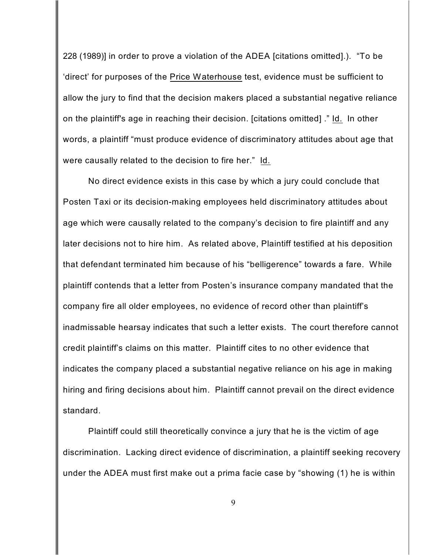228 (1989)] in order to prove a violation of the ADEA [citations omitted].). "To be 'direct' for purposes of the Price Waterhouse test, evidence must be sufficient to allow the jury to find that the decision makers placed a substantial negative reliance on the plaintiff's age in reaching their decision. [citations omitted] ." Id. In other words, a plaintiff "must produce evidence of discriminatory attitudes about age that were causally related to the decision to fire her." Id.

No direct evidence exists in this case by which a jury could conclude that Posten Taxi or its decision-making employees held discriminatory attitudes about age which were causally related to the company's decision to fire plaintiff and any later decisions not to hire him. As related above, Plaintiff testified at his deposition that defendant terminated him because of his "belligerence" towards a fare. While plaintiff contends that a letter from Posten's insurance company mandated that the company fire all older employees, no evidence of record other than plaintiff's inadmissable hearsay indicates that such a letter exists. The court therefore cannot credit plaintiff's claims on this matter. Plaintiff cites to no other evidence that indicates the company placed a substantial negative reliance on his age in making hiring and firing decisions about him. Plaintiff cannot prevail on the direct evidence standard.

Plaintiff could still theoretically convince a jury that he is the victim of age discrimination. Lacking direct evidence of discrimination, a plaintiff seeking recovery under the ADEA must first make out a prima facie case by "showing (1) he is within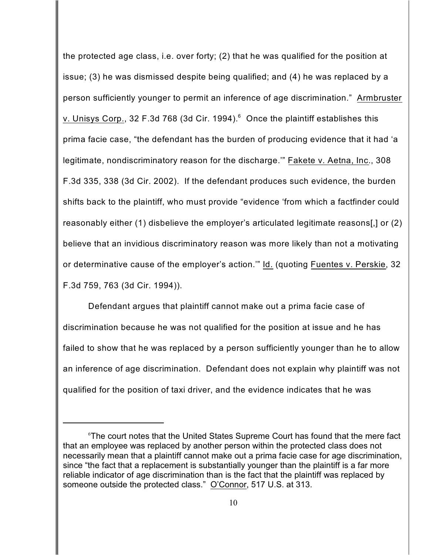the protected age class, i.e. over forty; (2) that he was qualified for the position at issue; (3) he was dismissed despite being qualified; and (4) he was replaced by a person sufficiently younger to permit an inference of age discrimination." Armbruster v. Unisys Corp., 32 F.3d 768 (3d Cir. 1994).<sup>6</sup> Once the plaintiff establishes this prima facie case, "the defendant has the burden of producing evidence that it had 'a legitimate, nondiscriminatory reason for the discharge.'" Fakete v. Aetna, Inc., 308 F.3d 335, 338 (3d Cir. 2002). If the defendant produces such evidence, the burden shifts back to the plaintiff, who must provide "evidence 'from which a factfinder could reasonably either (1) disbelieve the employer's articulated legitimate reasons[,] or (2) believe that an invidious discriminatory reason was more likely than not a motivating or determinative cause of the employer's action.'" Id. (quoting Fuentes v. Perskie, 32 F.3d 759, 763 (3d Cir. 1994)).

Defendant argues that plaintiff cannot make out a prima facie case of discrimination because he was not qualified for the position at issue and he has failed to show that he was replaced by a person sufficiently younger than he to allow an inference of age discrimination. Defendant does not explain why plaintiff was not qualified for the position of taxi driver, and the evidence indicates that he was

 $6$ The court notes that the United States Supreme Court has found that the mere fact that an employee was replaced by another person within the protected class does not necessarily mean that a plaintiff cannot make out a prima facie case for age discrimination, since "the fact that a replacement is substantially younger than the plaintiff is a far more reliable indicator of age discrimination than is the fact that the plaintiff was replaced by someone outside the protected class." O'Connor, 517 U.S. at 313.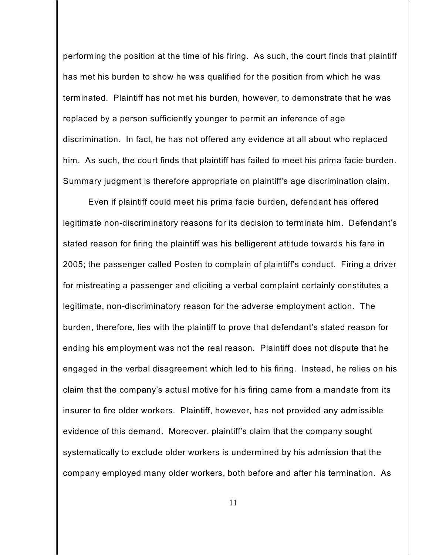performing the position at the time of his firing. As such, the court finds that plaintiff has met his burden to show he was qualified for the position from which he was terminated. Plaintiff has not met his burden, however, to demonstrate that he was replaced by a person sufficiently younger to permit an inference of age discrimination. In fact, he has not offered any evidence at all about who replaced him. As such, the court finds that plaintiff has failed to meet his prima facie burden. Summary judgment is therefore appropriate on plaintiff's age discrimination claim.

Even if plaintiff could meet his prima facie burden, defendant has offered legitimate non-discriminatory reasons for its decision to terminate him. Defendant's stated reason for firing the plaintiff was his belligerent attitude towards his fare in 2005; the passenger called Posten to complain of plaintiff's conduct. Firing a driver for mistreating a passenger and eliciting a verbal complaint certainly constitutes a legitimate, non-discriminatory reason for the adverse employment action. The burden, therefore, lies with the plaintiff to prove that defendant's stated reason for ending his employment was not the real reason. Plaintiff does not dispute that he engaged in the verbal disagreement which led to his firing. Instead, he relies on his claim that the company's actual motive for his firing came from a mandate from its insurer to fire older workers. Plaintiff, however, has not provided any admissible evidence of this demand. Moreover, plaintiff's claim that the company sought systematically to exclude older workers is undermined by his admission that the company employed many older workers, both before and after his termination. As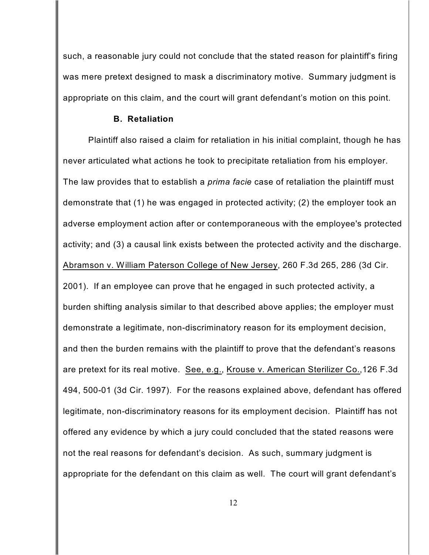such, a reasonable jury could not conclude that the stated reason for plaintiff's firing was mere pretext designed to mask a discriminatory motive. Summary judgment is appropriate on this claim, and the court will grant defendant's motion on this point.

#### **B. Retaliation**

Plaintiff also raised a claim for retaliation in his initial complaint, though he has never articulated what actions he took to precipitate retaliation from his employer. The law provides that to establish a *prima facie* case of retaliation the plaintiff must demonstrate that (1) he was engaged in protected activity; (2) the employer took an adverse employment action after or contemporaneous with the employee's protected activity; and (3) a causal link exists between the protected activity and the discharge. Abramson v. William Paterson College of New Jersey, 260 F.3d 265, 286 (3d Cir. 2001). If an employee can prove that he engaged in such protected activity, a burden shifting analysis similar to that described above applies; the employer must demonstrate a legitimate, non-discriminatory reason for its employment decision, and then the burden remains with the plaintiff to prove that the defendant's reasons are pretext for its real motive. See, e.g., Krouse v. American Sterilizer Co.,126 F.3d 494, 500-01 (3d Cir. 1997). For the reasons explained above, defendant has offered legitimate, non-discriminatory reasons for its employment decision. Plaintiff has not offered any evidence by which a jury could concluded that the stated reasons were not the real reasons for defendant's decision. As such, summary judgment is appropriate for the defendant on this claim as well. The court will grant defendant's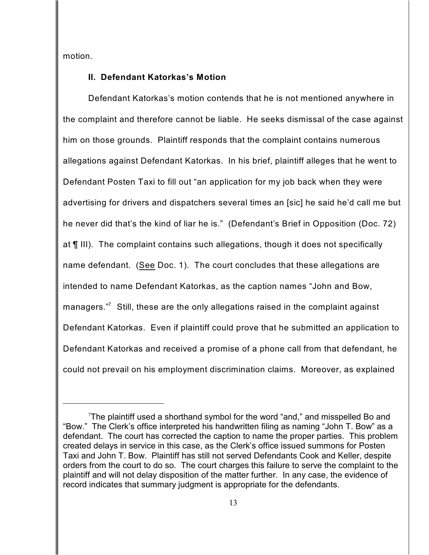motion.

#### **II. Defendant Katorkas's Motion**

Defendant Katorkas's motion contends that he is not mentioned anywhere in the complaint and therefore cannot be liable. He seeks dismissal of the case against him on those grounds. Plaintiff responds that the complaint contains numerous allegations against Defendant Katorkas. In his brief, plaintiff alleges that he went to Defendant Posten Taxi to fill out "an application for my job back when they were advertising for drivers and dispatchers several times an [sic] he said he'd call me but he never did that's the kind of liar he is." (Defendant's Brief in Opposition (Doc. 72) at ¶ III). The complaint contains such allegations, though it does not specifically name defendant. (See Doc. 1). The court concludes that these allegations are intended to name Defendant Katorkas, as the caption names "John and Bow, managers." $\overline{\phantom{a}}$  Still, these are the only allegations raised in the complaint against Defendant Katorkas. Even if plaintiff could prove that he submitted an application to Defendant Katorkas and received a promise of a phone call from that defendant, he could not prevail on his employment discrimination claims. Moreover, as explained

 $7$ The plaintiff used a shorthand symbol for the word "and," and misspelled Bo and "Bow." The Clerk's office interpreted his handwritten filing as naming "John T. Bow" as a defendant. The court has corrected the caption to name the proper parties. This problem created delays in service in this case, as the Clerk's office issued summons for Posten Taxi and John T. Bow. Plaintiff has still not served Defendants Cook and Keller, despite orders from the court to do so. The court charges this failure to serve the complaint to the plaintiff and will not delay disposition of the matter further. In any case, the evidence of record indicates that summary judgment is appropriate for the defendants.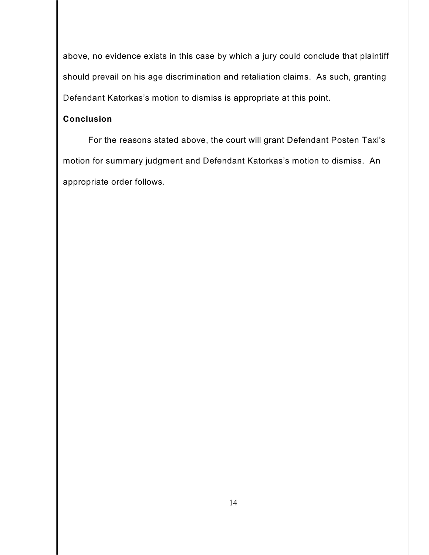above, no evidence exists in this case by which a jury could conclude that plaintiff should prevail on his age discrimination and retaliation claims. As such, granting Defendant Katorkas's motion to dismiss is appropriate at this point.

# **Conclusion**

For the reasons stated above, the court will grant Defendant Posten Taxi's motion for summary judgment and Defendant Katorkas's motion to dismiss. An appropriate order follows.